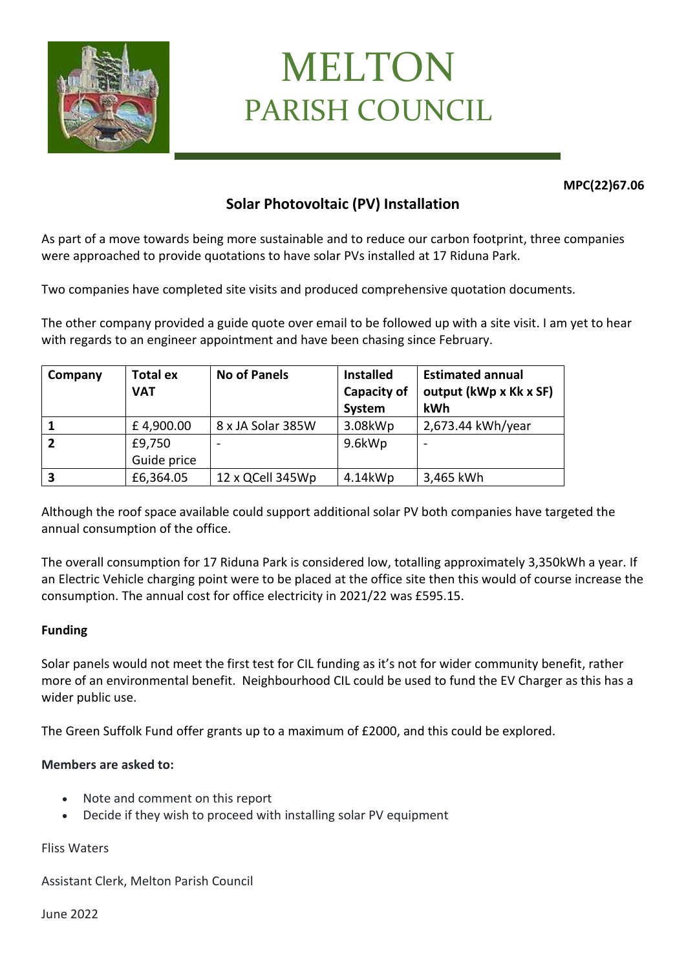

# MELTON PARISH COUNCIL

**MPC(22)67.06**

# **Solar Photovoltaic (PV) Installation**

As part of a move towards being more sustainable and to reduce our carbon footprint, three companies were approached to provide quotations to have solar PVs installed at 17 Riduna Park.

Two companies have completed site visits and produced comprehensive quotation documents.

The other company provided a guide quote over email to be followed up with a site visit. I am yet to hear with regards to an engineer appointment and have been chasing since February.

| Company | <b>Total ex</b><br><b>VAT</b> | <b>No of Panels</b>      | <b>Installed</b><br><b>Capacity of</b><br>System | <b>Estimated annual</b><br>output (kWp x Kk x SF)<br>kWh |
|---------|-------------------------------|--------------------------|--------------------------------------------------|----------------------------------------------------------|
|         | £4,900.00                     | 8 x JA Solar 385W        | 3.08kWp                                          | 2,673.44 kWh/year                                        |
|         | £9,750                        | $\overline{\phantom{a}}$ | 9.6kWp                                           |                                                          |
|         | Guide price                   |                          |                                                  |                                                          |
|         | £6,364.05                     | 12 x QCell 345Wp         | 4.14kWp                                          | 3,465 kWh                                                |

Although the roof space available could support additional solar PV both companies have targeted the annual consumption of the office.

The overall consumption for 17 Riduna Park is considered low, totalling approximately 3,350kWh a year. If an Electric Vehicle charging point were to be placed at the office site then this would of course increase the consumption. The annual cost for office electricity in 2021/22 was £595.15.

## **Funding**

Solar panels would not meet the first test for CIL funding as it's not for wider community benefit, rather more of an environmental benefit. Neighbourhood CIL could be used to fund the EV Charger as this has a wider public use.

The Green Suffolk Fund offer grants up to a maximum of £2000, and this could be explored.

## **Members are asked to:**

- Note and comment on this report
- Decide if they wish to proceed with installing solar PV equipment

Fliss Waters

Assistant Clerk, Melton Parish Council

June 2022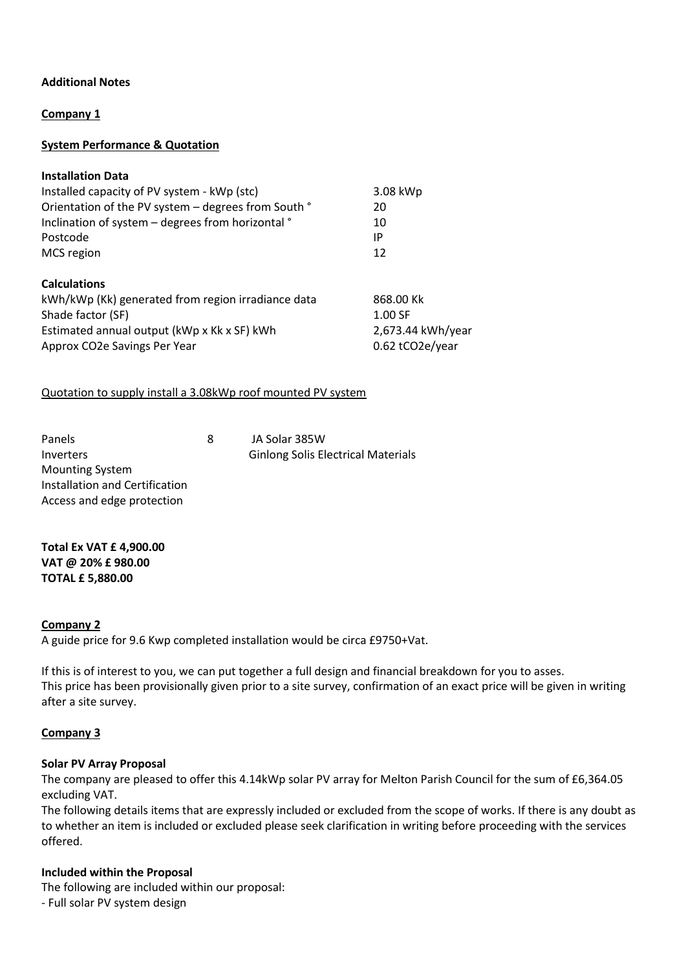#### **Additional Notes**

#### **Company 1**

#### **System Performance & Quotation**

| <b>Installation Data</b>                            |                   |  |
|-----------------------------------------------------|-------------------|--|
| Installed capacity of PV system - kWp (stc)         | 3.08 kWp          |  |
| Orientation of the PV system - degrees from South ° | 20                |  |
| Inclination of system - degrees from horizontal °   | 10                |  |
| Postcode                                            | IP                |  |
| MCS region                                          | 12                |  |
| <b>Calculations</b>                                 |                   |  |
| kWh/kWp (Kk) generated from region irradiance data  | 868.00 Kk         |  |
| Shade factor (SF)                                   | 1.00 SF           |  |
| Estimated annual output (kWp x Kk x SF) kWh         | 2,673.44 kWh/year |  |
| Approx CO2e Savings Per Year                        | 0.62 tCO2e/year   |  |

#### Quotation to supply install a 3.08kWp roof mounted PV system

| Panels                         | 8 | JA Solar 385W                             |
|--------------------------------|---|-------------------------------------------|
| Inverters                      |   | <b>Ginlong Solis Electrical Materials</b> |
| <b>Mounting System</b>         |   |                                           |
| Installation and Certification |   |                                           |
| Access and edge protection     |   |                                           |

**Total Ex VAT £ 4,900.00 VAT @ 20% £ 980.00 TOTAL £ 5,880.00**

#### **Company 2**

A guide price for 9.6 Kwp completed installation would be circa £9750+Vat.

If this is of interest to you, we can put together a full design and financial breakdown for you to asses. This price has been provisionally given prior to a site survey, confirmation of an exact price will be given in writing after a site survey.

#### **Company 3**

#### **Solar PV Array Proposal**

The company are pleased to offer this 4.14kWp solar PV array for Melton Parish Council for the sum of £6,364.05 excluding VAT.

The following details items that are expressly included or excluded from the scope of works. If there is any doubt as to whether an item is included or excluded please seek clarification in writing before proceeding with the services offered.

#### **Included within the Proposal**

The following are included within our proposal:

- Full solar PV system design